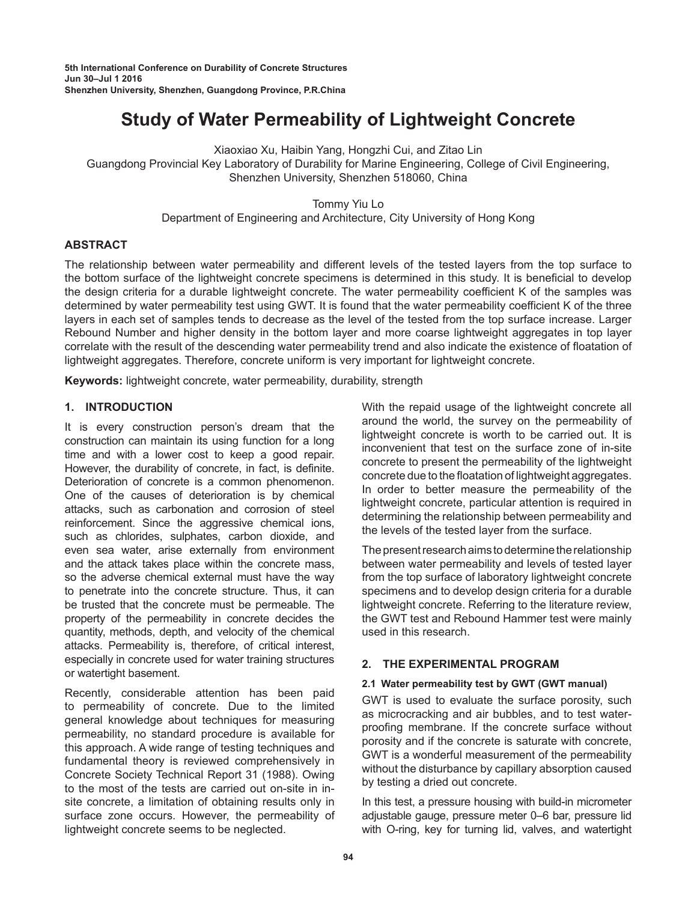# **Study of Water Permeability of Lightweight Concrete**

Xiaoxiao Xu, Haibin Yang, Hongzhi Cui, and Zitao Lin

Guangdong Provincial Key Laboratory of Durability for Marine Engineering, College of Civil Engineering, Shenzhen University, Shenzhen 518060, China

> Tommy Yiu Lo Department of Engineering and Architecture, City University of Hong Kong

# **ABSTRACT**

The relationship between water permeability and different levels of the tested layers from the top surface to the bottom surface of the lightweight concrete specimens is determined in this study. It is beneficial to develop the design criteria for a durable lightweight concrete. The water permeability coefficient K of the samples was determined by water permeability test using GWT. It is found that the water permeability coefficient K of the three layers in each set of samples tends to decrease as the level of the tested from the top surface increase. Larger Rebound Number and higher density in the bottom layer and more coarse lightweight aggregates in top layer correlate with the result of the descending water permeability trend and also indicate the existence of floatation of lightweight aggregates. Therefore, concrete uniform is very important for lightweight concrete.

**Keywords:** lightweight concrete, water permeability, durability, strength

# **1. INTRODUCTION**

It is every construction person's dream that the construction can maintain its using function for a long time and with a lower cost to keep a good repair. However, the durability of concrete, in fact, is definite. Deterioration of concrete is a common phenomenon. One of the causes of deterioration is by chemical attacks, such as carbonation and corrosion of steel reinforcement. Since the aggressive chemical ions, such as chlorides, sulphates, carbon dioxide, and even sea water, arise externally from environment and the attack takes place within the concrete mass, so the adverse chemical external must have the way to penetrate into the concrete structure. Thus, it can be trusted that the concrete must be permeable. The property of the permeability in concrete decides the quantity, methods, depth, and velocity of the chemical attacks. Permeability is, therefore, of critical interest, especially in concrete used for water training structures or watertight basement.

Recently, considerable attention has been paid to permeability of concrete. Due to the limited general knowledge about techniques for measuring permeability, no standard procedure is available for this approach. A wide range of testing techniques and fundamental theory is reviewed comprehensively in Concrete Society Technical Report 31 (1988). Owing to the most of the tests are carried out on-site in insite concrete, a limitation of obtaining results only in surface zone occurs. However, the permeability of lightweight concrete seems to be neglected.

With the repaid usage of the lightweight concrete all around the world, the survey on the permeability of lightweight concrete is worth to be carried out. It is inconvenient that test on the surface zone of in-site concrete to present the permeability of the lightweight concrete due to the floatation of lightweight aggregates. In order to better measure the permeability of the lightweight concrete, particular attention is required in determining the relationship between permeability and the levels of the tested layer from the surface.

The present research aims to determine the relationship between water permeability and levels of tested layer from the top surface of laboratory lightweight concrete specimens and to develop design criteria for a durable lightweight concrete. Referring to the literature review, the GWT test and Rebound Hammer test were mainly used in this research.

# **2. THE EXPERIMENTAL PROGRAM**

## **2.1 Water permeability test by GWT (GWT manual)**

GWT is used to evaluate the surface porosity, such as microcracking and air bubbles, and to test waterproofing membrane. If the concrete surface without porosity and if the concrete is saturate with concrete, GWT is a wonderful measurement of the permeability without the disturbance by capillary absorption caused by testing a dried out concrete.

In this test, a pressure housing with build-in micrometer adjustable gauge, pressure meter 0–6 bar, pressure lid with O-ring, key for turning lid, valves, and watertight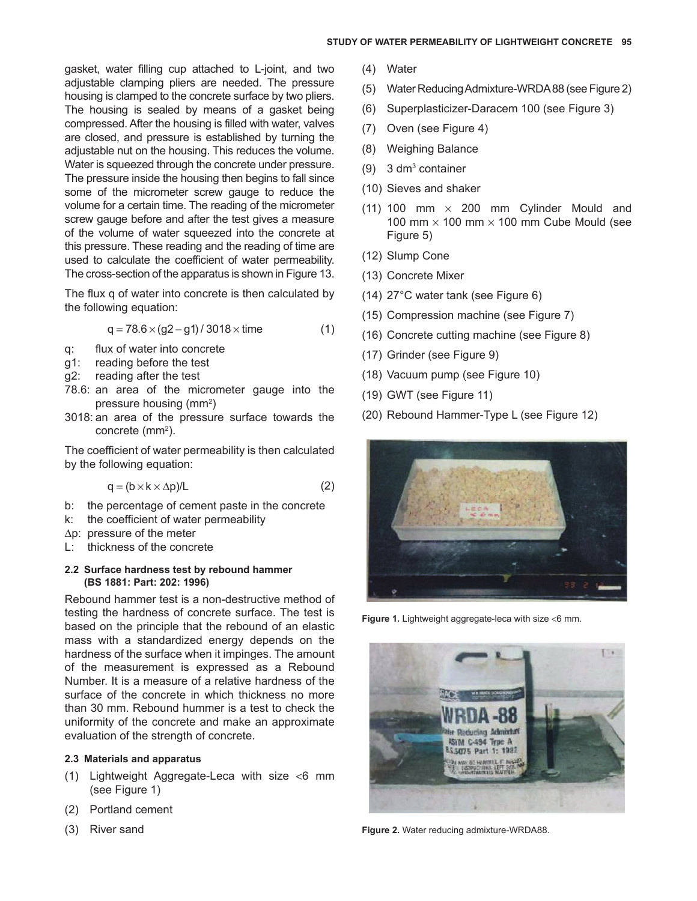gasket, water filling cup attached to L-joint, and two adjustable clamping pliers are needed. The pressure housing is clamped to the concrete surface by two pliers. The housing is sealed by means of a gasket being compressed. After the housing is filled with water, valves are closed, and pressure is established by turning the adjustable nut on the housing. This reduces the volume. Water is squeezed through the concrete under pressure. The pressure inside the housing then begins to fall since some of the micrometer screw gauge to reduce the volume for a certain time. The reading of the micrometer screw gauge before and after the test gives a measure of the volume of water squeezed into the concrete at this pressure. These reading and the reading of time are used to calculate the coefficient of water permeability. The cross-section of the apparatus is shown in [Figure](#page-4-0) 13.

The flux q of water into concrete is then calculated by the following equation:

$$
q = 78.6 \times (g2 - g1)/3018 \times \text{time} \tag{1}
$$

- q: flux of water into concrete
- g1: reading before the test
- g2: reading after the test
- 78.6: an area of the micrometer gauge into the pressure housing (mm<sup>2</sup>)
- 3018: an area of the pressure surface towards the concrete (mm<sup>2</sup>).

The coefficient of water permeability is then calculated by the following equation:

$$
q = (b \times k \times \Delta p)/L \tag{2}
$$

- b: the percentage of cement paste in the concrete
- k: the coefficient of water permeability
- $\Delta p$ : pressure of the meter
- L: thickness of the concrete

## **2.2 Surface hardness test by rebound hammer (BS 1881: Part: 202: 1996)**

Rebound hammer test is a non-destructive method of testing the hardness of concrete surface. The test is based on the principle that the rebound of an elastic mass with a standardized energy depends on the hardness of the surface when it impinges. The amount of the measurement is expressed as a Rebound Number. It is a measure of a relative hardness of the surface of the concrete in which thickness no more than 30 mm. Rebound hummer is a test to check the uniformity of the concrete and make an approximate evaluation of the strength of concrete.

## **2.3 Materials and apparatus**

- (1) Lightweight Aggregate-Leca with size <6 mm (see Figure 1)
- (2) Portland cement
- (3) River sand
- (4) Water
- (5) Water Reducing Admixture-WRDA 88 (see Figure 2)
- (6) Superplasticizer-Daracem 100 (see [Figure 3\)](#page-2-0)
- (7) Oven (see [Figure 4\)](#page-2-0)
- (8) Weighing Balance
- (9) 3 dm<sup>3</sup> container
- (10) Sieves and shaker
- (11) 100 mm  $\times$  200 mm Cylinder Mould and 100 mm  $\times$  100 mm  $\times$  100 mm Cube Mould (see [Figure 5\)](#page-2-0)
- (12) Slump Cone
- (13) Concrete Mixer
- (14) 27°C water tank (see [Figure 6\)](#page-2-0)
- (15) Compression machine (see [Figure 7\)](#page-2-0)
- (16) Concrete cutting machine (se[e Figure 8](#page-2-0))
- (17) Grinder (see [Figure 9\)](#page-2-0)
- (18) Vacuum pump (see [Figure 10\)](#page-3-0)
- (19) GWT (see [Figure 11\)](#page-3-0)
- (20) Rebound Hammer-Type L (see [Figure 12\)](#page-3-0)



**Figure 1.** Lightweight aggregate-leca with size <6 mm.



**Figure 2.** Water reducing admixture-WRDA88.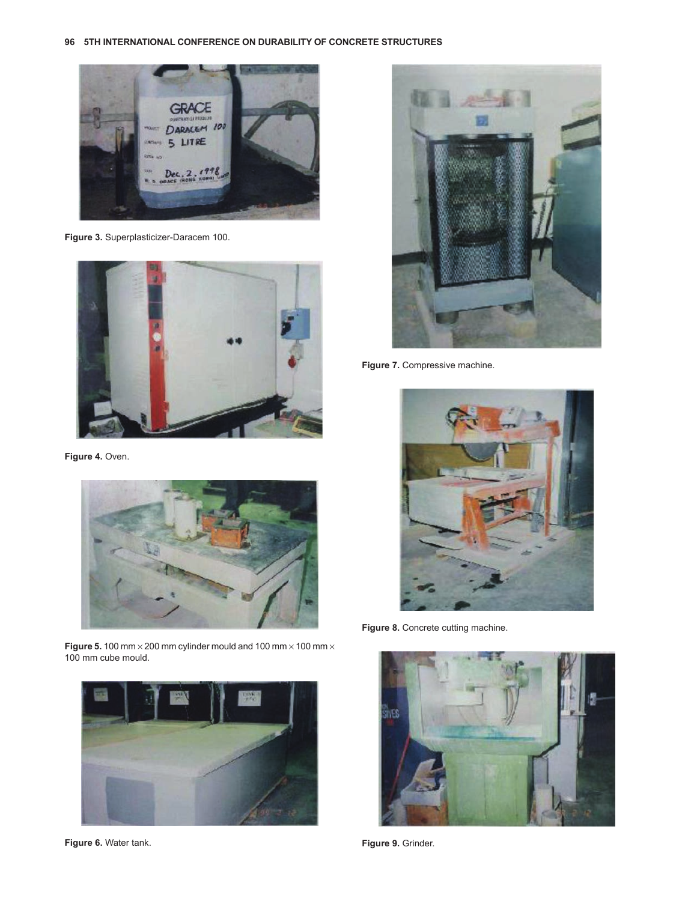<span id="page-2-0"></span>**96 5TH INTERNATIONAL CONFERENCE ON DURABILITY OF CONCRETE STRUCTURES**



**Figure 3.** Superplasticizer-Daracem 100.



Figure 4. Oven.



**Figure 5.** 100 mm × 200 mm cylinder mould and 100 mm × 100 mm × 100 mm cube mould.



**Figure 6.** Water tank.



**Figure 7.** Compressive machine.



Figure 8. Concrete cutting machine.



**Figure 9.** Grinder.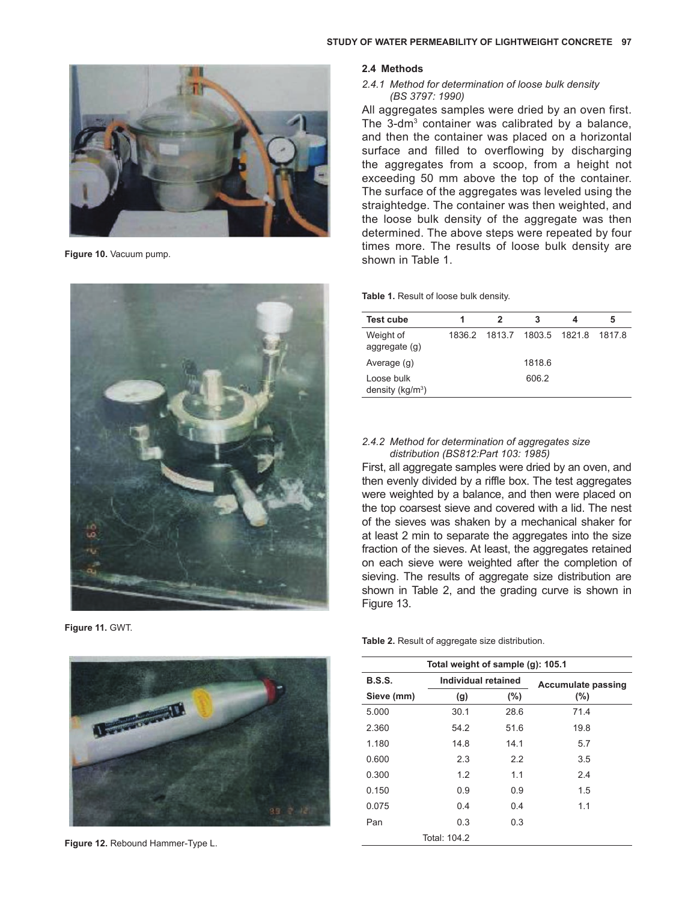<span id="page-3-0"></span>

**Figure 10.** Vacuum pump.



**Figure 11.** GWT.



**Figure 12.** Rebound Hammer-Type L.

#### **2.4 Methods**

*2.4.1 Method for determination of loose bulk density (BS 3797: 1990)*

All aggregates samples were dried by an oven first. The 3-dm<sup>3</sup> container was calibrated by a balance, and then the container was placed on a horizontal surface and filled to overflowing by discharging the aggregates from a scoop, from a height not exceeding 50 mm above the top of the container. The surface of the aggregates was leveled using the straightedge. The container was then weighted, and the loose bulk density of the aggregate was then determined. The above steps were repeated by four times more. The results of loose bulk density are shown in Table 1.

**Table 1.** Result of loose bulk density.

| <b>Test cube</b>                  | 2                                  | З      | 5 |
|-----------------------------------|------------------------------------|--------|---|
| Weight of<br>aggregate (g)        | 1836.2 1813.7 1803.5 1821.8 1817.8 |        |   |
| Average (g)                       |                                    | 1818.6 |   |
| Loose bulk<br>density ( $kg/m3$ ) |                                    | 606.2  |   |

#### *2.4.2 Method for determination of aggregates size distribution (BS812:Part 103: 1985)*

First, all aggregate samples were dried by an oven, and then evenly divided by a riffle box. The test aggregates were weighted by a balance, and then were placed on the top coarsest sieve and covered with a lid. The nest of the sieves was shaken by a mechanical shaker for at least 2 min to separate the aggregates into the size fraction of the sieves. At least, the aggregates retained on each sieve were weighted after the completion of sieving. The results of aggregate size distribution are shown in Table 2, and the grading curve is shown in [Figure 13.](#page-4-0)

**Table 2.** Result of aggregate size distribution.

| Total weight of sample (g): 105.1 |                     |      |                           |  |  |  |  |
|-----------------------------------|---------------------|------|---------------------------|--|--|--|--|
| <b>B.S.S.</b>                     | Individual retained |      | <b>Accumulate passing</b> |  |  |  |  |
| Sieve (mm)                        | (g)                 | (%)  | $(\% )$                   |  |  |  |  |
| 5.000                             | 30.1                | 28.6 | 71.4                      |  |  |  |  |
| 2.360                             | 54.2                | 51.6 | 19.8                      |  |  |  |  |
| 1.180                             | 14.8                | 14.1 | 5.7                       |  |  |  |  |
| 0.600                             | 2.3                 | 2.2  | 3.5                       |  |  |  |  |
| 0.300                             | 1.2                 | 1.1  | 2.4                       |  |  |  |  |
| 0.150                             | 0.9                 | 0.9  | 1.5                       |  |  |  |  |
| 0.075                             | 0.4                 | 0.4  | 1.1                       |  |  |  |  |
| Pan                               | 0.3                 | 0.3  |                           |  |  |  |  |
|                                   | Total: 104.2        |      |                           |  |  |  |  |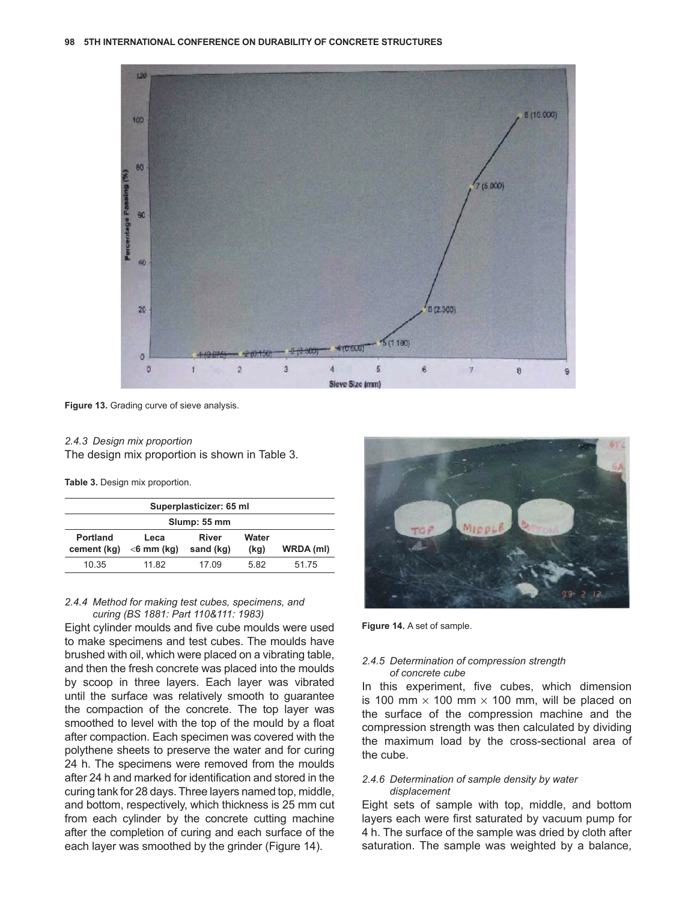<span id="page-4-0"></span>

**Figure 13.** Grading curve of sieve analysis.

#### *2.4.3 Design mix proportion* The design mix proportion is shown in Table 3.

**Table 3.** Design mix proportion.

| Superplasticizer: 65 ml        |                       |                           |               |           |  |  |  |
|--------------------------------|-----------------------|---------------------------|---------------|-----------|--|--|--|
| Slump: 55 mm                   |                       |                           |               |           |  |  |  |
| <b>Portland</b><br>cement (kg) | Leca<br>$<$ 6 mm (kg) | <b>River</b><br>sand (kg) | Water<br>(kg) | WRDA (ml) |  |  |  |
| 10 35                          | 11.82                 | 17 09                     | 582           | 51 75     |  |  |  |

#### *2.4.4 Method for making test cubes, specimens, and curing (BS 1881: Part 110&111: 1983)*

Eight cylinder moulds and five cube moulds were used to make specimens and test cubes. The moulds have brushed with oil, which were placed on a vibrating table, and then the fresh concrete was placed into the moulds by scoop in three layers. Each layer was vibrated until the surface was relatively smooth to guarantee the compaction of the concrete. The top layer was smoothed to level with the top of the mould by a float after compaction. Each specimen was covered with the polythene sheets to preserve the water and for curing 24 h. The specimens were removed from the moulds after 24 h and marked for identification and stored in the curing tank for 28 days. Three layers named top, middle, and bottom, respectively, which thickness is 25 mm cut from each cylinder by the concrete cutting machine after the completion of curing and each surface of the each layer was smoothed by the grinder (Figure 14).



**Figure 14.** A set of sample.

#### *2.4.5 Determination of compression strength of concrete cube*

In this experiment, five cubes, which dimension is 100 mm  $\times$  100 mm  $\times$  100 mm, will be placed on the surface of the compression machine and the compression strength was then calculated by dividing the maximum load by the cross-sectional area of the cube.

### *2.4.6 Determination of sample density by water displacement*

Eight sets of sample with top, middle, and bottom layers each were first saturated by vacuum pump for 4 h. The surface of the sample was dried by cloth after saturation. The sample was weighted by a balance,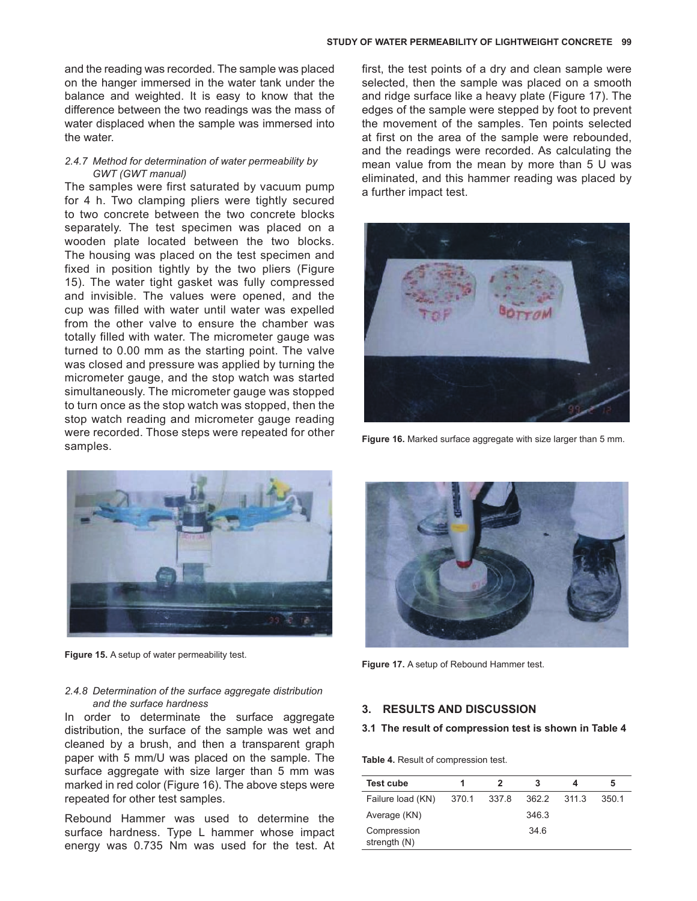and the reading was recorded. The sample was placed on the hanger immersed in the water tank under the balance and weighted. It is easy to know that the difference between the two readings was the mass of water displaced when the sample was immersed into the water.

## *2.4.7 Method for determination of water permeability by GWT (GWT manual)*

The samples were first saturated by vacuum pump for 4 h. Two clamping pliers were tightly secured to two concrete between the two concrete blocks separately. The test specimen was placed on a wooden plate located between the two blocks. The housing was placed on the test specimen and fixed in position tightly by the two pliers (Figure 15). The water tight gasket was fully compressed and invisible. The values were opened, and the cup was filled with water until water was expelled from the other valve to ensure the chamber was totally filled with water. The micrometer gauge was turned to 0.00 mm as the starting point. The valve was closed and pressure was applied by turning the micrometer gauge, and the stop watch was started simultaneously. The micrometer gauge was stopped to turn once as the stop watch was stopped, then the stop watch reading and micrometer gauge reading were recorded. Those steps were repeated for other samples.

first, the test points of a dry and clean sample were selected, then the sample was placed on a smooth and ridge surface like a heavy plate (Figure 17). The edges of the sample were stepped by foot to prevent the movement of the samples. Ten points selected at first on the area of the sample were rebounded, and the readings were recorded. As calculating the mean value from the mean by more than 5 U was eliminated, and this hammer reading was placed by a further impact test.



**Figure 16.** Marked surface aggregate with size larger than 5 mm.



**Figure 15.** A setup of water permeability test.

### *2.4.8 Determination of the surface aggregate distribution and the surface hardness*

In order to determinate the surface aggregate distribution, the surface of the sample was wet and cleaned by a brush, and then a transparent graph paper with 5 mm/U was placed on the sample. The surface aggregate with size larger than 5 mm was marked in red color (Figure 16). The above steps were repeated for other test samples.

Rebound Hammer was used to determine the surface hardness. Type L hammer whose impact energy was 0.735 Nm was used for the test. At



**Figure 17.** A setup of Rebound Hammer test.

## **3. RESULTS AND DISCUSSION**

#### **3.1 The result of compression test is shown in Table 4**

**Table 4.** Result of compression test.

| 2<br>з                                                 | 5                |
|--------------------------------------------------------|------------------|
| Failure load (KN)<br>370.1<br>-337.8<br>362.2<br>311 3 | 350 <sub>1</sub> |
| 346.3<br>Average (KN)                                  |                  |
| 346<br>Compression                                     |                  |
|                                                        |                  |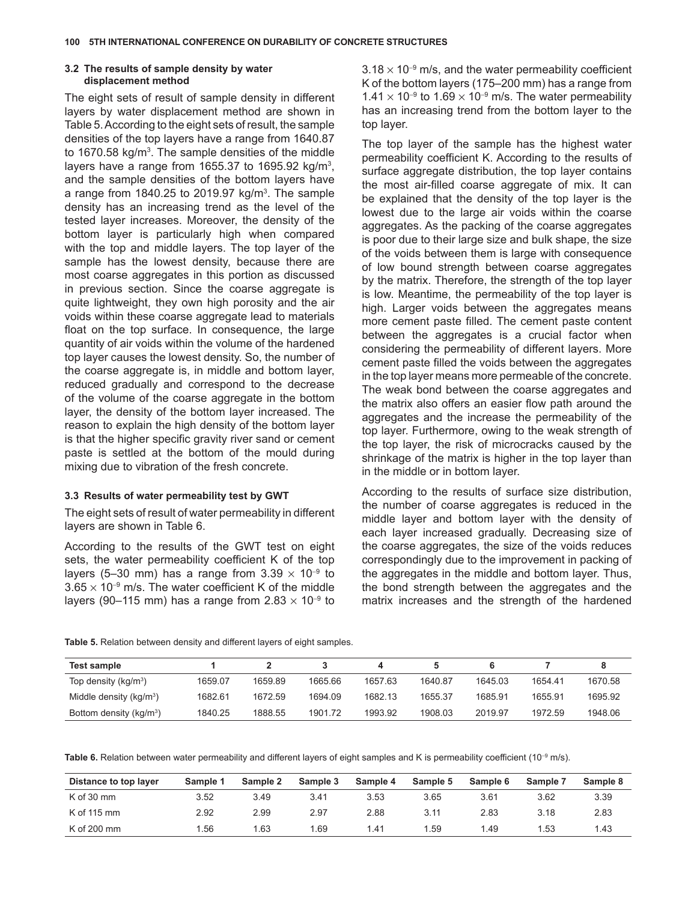## **3.2 The results of sample density by water displacement method**

The eight sets of result of sample density in different layers by water displacement method are shown in Table 5. According to the eight sets of result, the sample densities of the top layers have a range from 1640.87 to 1670.58 kg/m<sup>3</sup>. The sample densities of the middle layers have a range from 1655.37 to 1695.92 kg/m<sup>3</sup>, and the sample densities of the bottom layers have a range from 1840.25 to 2019.97  $kg/m<sup>3</sup>$ . The sample density has an increasing trend as the level of the tested layer increases. Moreover, the density of the bottom layer is particularly high when compared with the top and middle layers. The top layer of the sample has the lowest density, because there are most coarse aggregates in this portion as discussed in previous section. Since the coarse aggregate is quite lightweight, they own high porosity and the air voids within these coarse aggregate lead to materials float on the top surface. In consequence, the large quantity of air voids within the volume of the hardened top layer causes the lowest density. So, the number of the coarse aggregate is, in middle and bottom layer, reduced gradually and correspond to the decrease of the volume of the coarse aggregate in the bottom layer, the density of the bottom layer increased. The reason to explain the high density of the bottom layer is that the higher specific gravity river sand or cement paste is settled at the bottom of the mould during mixing due to vibration of the fresh concrete.

#### **3.3 Results of water permeability test by GWT**

The eight sets of result of water permeability in different layers are shown in Table 6.

According to the results of the GWT test on eight sets, the water permeability coefficient K of the top layers (5–30 mm) has a range from 3.39  $\times$  10<sup>-9</sup> to  $3.65 \times 10^{-9}$  m/s. The water coefficient K of the middle layers (90–115 mm) has a range from 2.83  $\times$  10<sup>-9</sup> to

 $3.18 \times 10^{-9}$  m/s, and the water permeability coefficient K of the bottom layers (175–200 mm) has a range from  $1.41 \times 10^{-9}$  to 1.69  $\times$  10<sup>-9</sup> m/s. The water permeability has an increasing trend from the bottom layer to the top layer.

The top layer of the sample has the highest water permeability coefficient K. According to the results of surface aggregate distribution, the top layer contains the most air-filled coarse aggregate of mix. It can be explained that the density of the top layer is the lowest due to the large air voids within the coarse aggregates. As the packing of the coarse aggregates is poor due to their large size and bulk shape, the size of the voids between them is large with consequence of low bound strength between coarse aggregates by the matrix. Therefore, the strength of the top layer is low. Meantime, the permeability of the top layer is high. Larger voids between the aggregates means more cement paste filled. The cement paste content between the aggregates is a crucial factor when considering the permeability of different layers. More cement paste filled the voids between the aggregates in the top layer means more permeable of the concrete. The weak bond between the coarse aggregates and the matrix also offers an easier flow path around the aggregates and the increase the permeability of the top layer. Furthermore, owing to the weak strength of the top layer, the risk of microcracks caused by the shrinkage of the matrix is higher in the top layer than in the middle or in bottom layer.

According to the results of surface size distribution, the number of coarse aggregates is reduced in the middle layer and bottom layer with the density of each layer increased gradually. Decreasing size of the coarse aggregates, the size of the voids reduces correspondingly due to the improvement in packing of the aggregates in the middle and bottom layer. Thus, the bond strength between the aggregates and the matrix increases and the strength of the hardened

**Table 5.** Relation between density and different layers of eight samples.

| Test sample                |         |         |         |         |         |         |         |         |
|----------------------------|---------|---------|---------|---------|---------|---------|---------|---------|
| Top density ( $kg/m3$ )    | 1659.07 | 1659.89 | 1665.66 | 1657.63 | 1640.87 | 1645.03 | 1654.41 | 1670.58 |
| Middle density ( $kg/m3$ ) | 1682.61 | 1672.59 | 1694.09 | 1682.13 | 1655.37 | 1685.91 | 1655.91 | 1695.92 |
| Bottom density ( $kg/m3$ ) | 1840.25 | 1888.55 | 1901.72 | 1993.92 | 1908.03 | 2019.97 | 1972.59 | 1948.06 |

Table 6. Relation between water permeability and different layers of eight samples and K is permeability coefficient (10<sup>-9</sup> m/s).

| Distance to top layer | Sample 1 | Sample 2 | Sample 3 | Sample 4 | Sample 5 | Sample 6 | Sample 7 | Sample 8 |
|-----------------------|----------|----------|----------|----------|----------|----------|----------|----------|
| K of 30 mm            | 3.52     | 3.49     | 3.41     | 3.53     | 3.65     | 3.61     | 3.62     | 3.39     |
| K of 115 mm           | 2.92     | 2.99     | 2.97     | 2.88     | 3.11     | 2.83     | 3.18     | 2.83     |
| K of 200 mm           | .56      | .63      | .69      | 1.41     | .59      | 1.49     | .53      | 1.43     |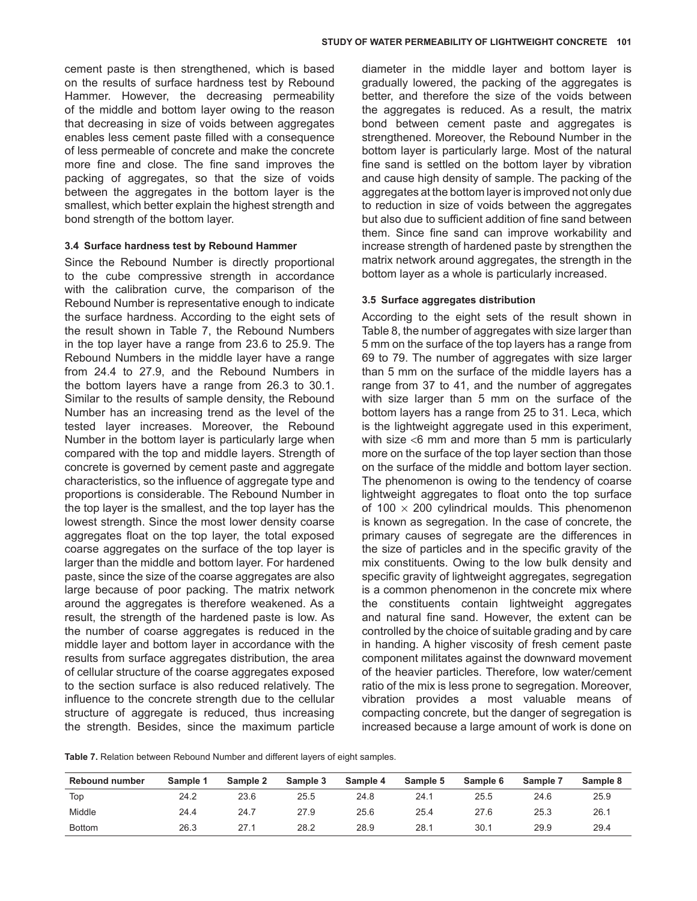cement paste is then strengthened, which is based on the results of surface hardness test by Rebound Hammer. However, the decreasing permeability of the middle and bottom layer owing to the reason that decreasing in size of voids between aggregates enables less cement paste filled with a consequence of less permeable of concrete and make the concrete more fine and close. The fine sand improves the packing of aggregates, so that the size of voids between the aggregates in the bottom layer is the smallest, which better explain the highest strength and bond strength of the bottom layer.

#### **3.4 Surface hardness test by Rebound Hammer**

Since the Rebound Number is directly proportional to the cube compressive strength in accordance with the calibration curve, the comparison of the Rebound Number is representative enough to indicate the surface hardness. According to the eight sets of the result shown in Table 7, the Rebound Numbers in the top layer have a range from 23.6 to 25.9. The Rebound Numbers in the middle layer have a range from 24.4 to 27.9, and the Rebound Numbers in the bottom layers have a range from 26.3 to 30.1. Similar to the results of sample density, the Rebound Number has an increasing trend as the level of the tested layer increases. Moreover, the Rebound Number in the bottom layer is particularly large when compared with the top and middle layers. Strength of concrete is governed by cement paste and aggregate characteristics, so the influence of aggregate type and proportions is considerable. The Rebound Number in the top layer is the smallest, and the top layer has the lowest strength. Since the most lower density coarse aggregates float on the top layer, the total exposed coarse aggregates on the surface of the top layer is larger than the middle and bottom layer. For hardened paste, since the size of the coarse aggregates are also large because of poor packing. The matrix network around the aggregates is therefore weakened. As a result, the strength of the hardened paste is low. As the number of coarse aggregates is reduced in the middle layer and bottom layer in accordance with the results from surface aggregates distribution, the area of cellular structure of the coarse aggregates exposed to the section surface is also reduced relatively. The influence to the concrete strength due to the cellular structure of aggregate is reduced, thus increasing the strength. Besides, since the maximum particle

diameter in the middle layer and bottom layer is gradually lowered, the packing of the aggregates is better, and therefore the size of the voids between the aggregates is reduced. As a result, the matrix bond between cement paste and aggregates is strengthened. Moreover, the Rebound Number in the bottom layer is particularly large. Most of the natural fine sand is settled on the bottom layer by vibration and cause high density of sample. The packing of the aggregates at the bottom layer is improved not only due to reduction in size of voids between the aggregates but also due to sufficient addition of fine sand between them. Since fine sand can improve workability and increase strength of hardened paste by strengthen the matrix network around aggregates, the strength in the bottom layer as a whole is particularly increased.

### **3.5 Surface aggregates distribution**

According to the eight sets of the result shown in [Table](#page-8-0) 8, the number of aggregates with size larger than 5 mm on the surface of the top layers has a range from 69 to 79. The number of aggregates with size larger than 5 mm on the surface of the middle layers has a range from 37 to 41, and the number of aggregates with size larger than 5 mm on the surface of the bottom layers has a range from 25 to 31. Leca, which is the lightweight aggregate used in this experiment, with size <6 mm and more than 5 mm is particularly more on the surface of the top layer section than those on the surface of the middle and bottom layer section. The phenomenon is owing to the tendency of coarse lightweight aggregates to float onto the top surface of 100  $\times$  200 cylindrical moulds. This phenomenon is known as segregation. In the case of concrete, the primary causes of segregate are the differences in the size of particles and in the specific gravity of the mix constituents. Owing to the low bulk density and specific gravity of lightweight aggregates, segregation is a common phenomenon in the concrete mix where the constituents contain lightweight aggregates and natural fine sand. However, the extent can be controlled by the choice of suitable grading and by care in handing. A higher viscosity of fresh cement paste component militates against the downward movement of the heavier particles. Therefore, low water/cement ratio of the mix is less prone to segregation. Moreover, vibration provides a most valuable means of compacting concrete, but the danger of segregation is increased because a large amount of work is done on

**Table 7.** Relation between Rebound Number and different layers of eight samples.

| <b>Rebound number</b> | Sample 1 | Sample 2 | Sample 3 | Sample 4 | Sample 5 | Sample 6 | Sample 7 | Sample 8 |
|-----------------------|----------|----------|----------|----------|----------|----------|----------|----------|
| Top                   | 24.2     | 23.6     | 25.5     | 24.8     | 24.1     | 25.5     | 24.6     | 25.9     |
| Middle                | 24.4     | 24.7     | 27.9     | 25.6     | 25.4     | 27.6     | 25.3     | 26.1     |
| <b>Bottom</b>         | 26.3     | 27.1     | 28.2     | 28.9     | 28.1     | 30.1     | 29.9     | 29.4     |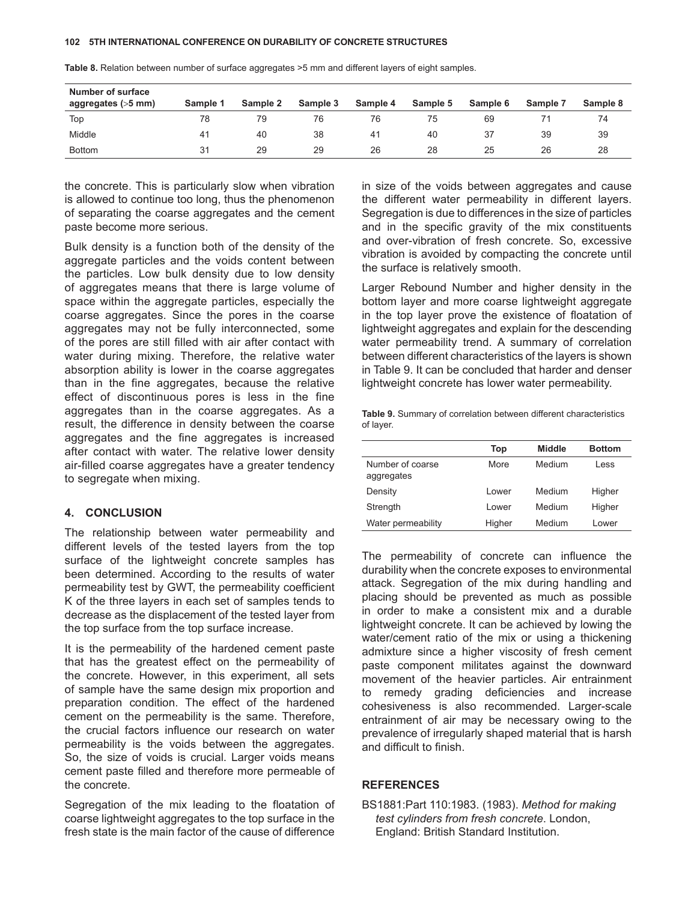| Number of surface<br>aggregates (>5 mm) | Sample 1 | Sample 2 | Sample 3 | Sample 4       | Sample 5 | Sample 6 | Sample 7 | Sample 8 |
|-----------------------------------------|----------|----------|----------|----------------|----------|----------|----------|----------|
| Top                                     | 78       | 79       | 76       |                | 75       | 69       |          | 74       |
| Middle                                  | 41       | 40       | 38       | 4 <sup>1</sup> | 40       | 37       | 39       | 39       |
| <b>Bottom</b>                           | 31       | 29       | 29       | 26             | 28       | 25       | 26       | 28       |

<span id="page-8-0"></span>**Table 8.** Relation between number of surface aggregates >5 mm and different layers of eight samples.

the concrete. This is particularly slow when vibration is allowed to continue too long, thus the phenomenon of separating the coarse aggregates and the cement paste become more serious.

Bulk density is a function both of the density of the aggregate particles and the voids content between the particles. Low bulk density due to low density of aggregates means that there is large volume of space within the aggregate particles, especially the coarse aggregates. Since the pores in the coarse aggregates may not be fully interconnected, some of the pores are still filled with air after contact with water during mixing. Therefore, the relative water absorption ability is lower in the coarse aggregates than in the fine aggregates, because the relative effect of discontinuous pores is less in the fine aggregates than in the coarse aggregates. As a result, the difference in density between the coarse aggregates and the fine aggregates is increased after contact with water. The relative lower density air-filled coarse aggregates have a greater tendency to segregate when mixing.

# **4. CONCLUSION**

The relationship between water permeability and different levels of the tested layers from the top surface of the lightweight concrete samples has been determined. According to the results of water permeability test by GWT, the permeability coefficient K of the three layers in each set of samples tends to decrease as the displacement of the tested layer from the top surface from the top surface increase.

It is the permeability of the hardened cement paste that has the greatest effect on the permeability of the concrete. However, in this experiment, all sets of sample have the same design mix proportion and preparation condition. The effect of the hardened cement on the permeability is the same. Therefore, the crucial factors influence our research on water permeability is the voids between the aggregates. So, the size of voids is crucial. Larger voids means cement paste filled and therefore more permeable of the concrete.

Segregation of the mix leading to the floatation of coarse lightweight aggregates to the top surface in the fresh state is the main factor of the cause of difference

in size of the voids between aggregates and cause the different water permeability in different layers. Segregation is due to differences in the size of particles and in the specific gravity of the mix constituents and over-vibration of fresh concrete. So, excessive vibration is avoided by compacting the concrete until the surface is relatively smooth.

Larger Rebound Number and higher density in the bottom layer and more coarse lightweight aggregate in the top layer prove the existence of floatation of lightweight aggregates and explain for the descending water permeability trend. A summary of correlation between different characteristics of the layers is shown in Table 9. It can be concluded that harder and denser lightweight concrete has lower water permeability.

|           |  |  | Table 9. Summary of correlation between different characteristics |
|-----------|--|--|-------------------------------------------------------------------|
| of layer. |  |  |                                                                   |

|                                | Top         | <b>Middle</b> | <b>Bottom</b> |
|--------------------------------|-------------|---------------|---------------|
| Number of coarse<br>aggregates | <b>More</b> | Medium        | Less          |
| Density                        | Lower       | Medium        | Higher        |
| Strength                       | Lower       | Medium        | Higher        |
| Water permeability             | Higher      | Medium        | Lower         |

The permeability of concrete can influence the durability when the concrete exposes to environmental attack. Segregation of the mix during handling and placing should be prevented as much as possible in order to make a consistent mix and a durable lightweight concrete. It can be achieved by lowing the water/cement ratio of the mix or using a thickening admixture since a higher viscosity of fresh cement paste component militates against the downward movement of the heavier particles. Air entrainment to remedy grading deficiencies and increase cohesiveness is also recommended. Larger-scale entrainment of air may be necessary owing to the prevalence of irregularly shaped material that is harsh and difficult to finish.

#### **REFERENCES**

BS1881:Part 110:1983. (1983). *Method for making test cylinders from fresh concrete*. London, England: British Standard Institution.